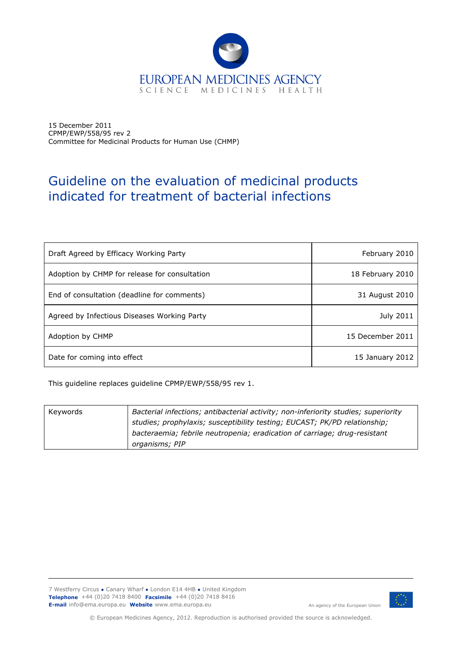

15 December 2011 CPMP/EWP/558/95 rev 2 Committee for Medicinal Products for Human Use (CHMP)

# Guideline on the evaluation of medicinal products indicated for treatment of bacterial infections

| Draft Agreed by Efficacy Working Party        | February 2010    |
|-----------------------------------------------|------------------|
| Adoption by CHMP for release for consultation | 18 February 2010 |
| End of consultation (deadline for comments)   | 31 August 2010   |
| Agreed by Infectious Diseases Working Party   | <b>July 2011</b> |
| Adoption by CHMP                              | 15 December 2011 |
| Date for coming into effect                   | 15 January 2012  |

This guideline replaces guideline CPMP/EWP/558/95 rev 1.

| Keywords | Bacterial infections; antibacterial activity; non-inferiority studies; superiority |  |
|----------|------------------------------------------------------------------------------------|--|
|          | studies; prophylaxis; susceptibility testing; EUCAST; PK/PD relationship;          |  |
|          | bacteraemia; febrile neutropenia; eradication of carriage; drug-resistant          |  |
|          | organisms; PIP                                                                     |  |

7 Westferry Circus **●** Canary Wharf **●** London E14 4HB **●** United Kingdom **Telephone** +44 (0)20 7418 8400 **Facsimile** +44 (0)20 7418 8416 **E-mail** info@ema.europa.eu **Website** www.ema.europa.eu An agency of the European Union



© European Medicines Agency, 2012. Reproduction is authorised provided the source is acknowledged.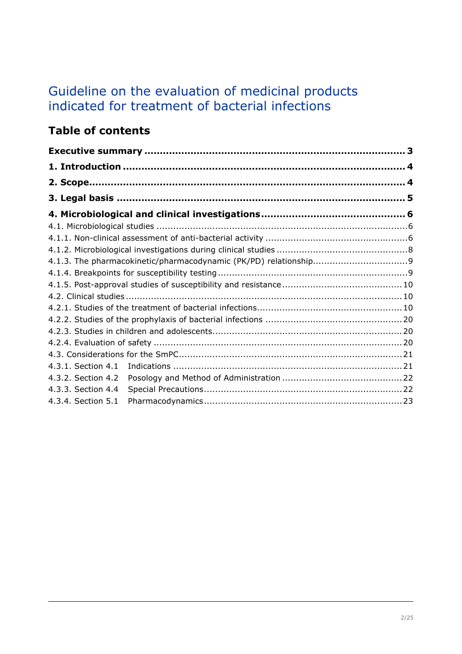# Guideline on the evaluation of medicinal products indicated for treatment of bacterial infections

# **Table of contents**

| 4.3.1. Section 4.1 |  |
|--------------------|--|
| 4.3.2. Section 4.2 |  |
| 4.3.3. Section 4.4 |  |
| 4.3.4. Section 5.1 |  |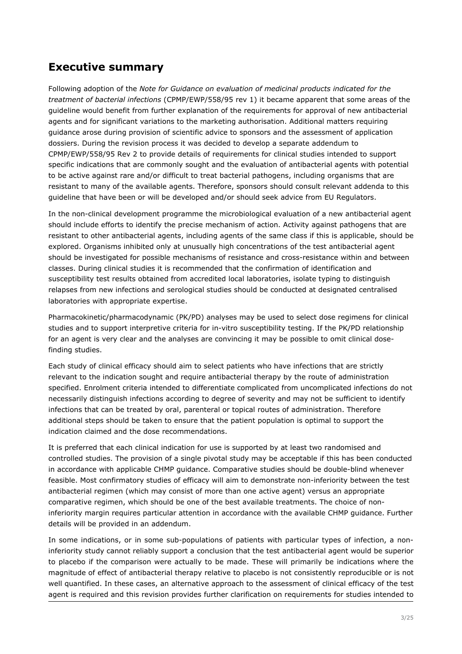# <span id="page-2-0"></span>**Executive summary**

Following adoption of the *Note for Guidance on evaluation of medicinal products indicated for the treatment of bacterial infections* (CPMP/EWP/558/95 rev 1) it became apparent that some areas of the guideline would benefit from further explanation of the requirements for approval of new antibacterial agents and for significant variations to the marketing authorisation. Additional matters requiring guidance arose during provision of scientific advice to sponsors and the assessment of application dossiers. During the revision process it was decided to develop a separate addendum to CPMP/EWP/558/95 Rev 2 to provide details of requirements for clinical studies intended to support specific indications that are commonly sought and the evaluation of antibacterial agents with potential to be active against rare and/or difficult to treat bacterial pathogens, including organisms that are resistant to many of the available agents. Therefore, sponsors should consult relevant addenda to this guideline that have been or will be developed and/or should seek advice from EU Regulators.

In the non-clinical development programme the microbiological evaluation of a new antibacterial agent should include efforts to identify the precise mechanism of action. Activity against pathogens that are resistant to other antibacterial agents, including agents of the same class if this is applicable, should be explored. Organisms inhibited only at unusually high concentrations of the test antibacterial agent should be investigated for possible mechanisms of resistance and cross-resistance within and between classes. During clinical studies it is recommended that the confirmation of identification and susceptibility test results obtained from accredited local laboratories, isolate typing to distinguish relapses from new infections and serological studies should be conducted at designated centralised laboratories with appropriate expertise.

Pharmacokinetic/pharmacodynamic (PK/PD) analyses may be used to select dose regimens for clinical studies and to support interpretive criteria for in-vitro susceptibility testing. If the PK/PD relationship for an agent is very clear and the analyses are convincing it may be possible to omit clinical dosefinding studies.

Each study of clinical efficacy should aim to select patients who have infections that are strictly relevant to the indication sought and require antibacterial therapy by the route of administration specified. Enrolment criteria intended to differentiate complicated from uncomplicated infections do not necessarily distinguish infections according to degree of severity and may not be sufficient to identify infections that can be treated by oral, parenteral or topical routes of administration. Therefore additional steps should be taken to ensure that the patient population is optimal to support the indication claimed and the dose recommendations.

It is preferred that each clinical indication for use is supported by at least two randomised and controlled studies. The provision of a single pivotal study may be acceptable if this has been conducted in accordance with applicable CHMP guidance. Comparative studies should be double-blind whenever feasible. Most confirmatory studies of efficacy will aim to demonstrate non-inferiority between the test antibacterial regimen (which may consist of more than one active agent) versus an appropriate comparative regimen, which should be one of the best available treatments. The choice of noninferiority margin requires particular attention in accordance with the available CHMP guidance. Further details will be provided in an addendum.

In some indications, or in some sub-populations of patients with particular types of infection, a noninferiority study cannot reliably support a conclusion that the test antibacterial agent would be superior to placebo if the comparison were actually to be made. These will primarily be indications where the magnitude of effect of antibacterial therapy relative to placebo is not consistently reproducible or is not well quantified. In these cases, an alternative approach to the assessment of clinical efficacy of the test agent is required and this revision provides further clarification on requirements for studies intended to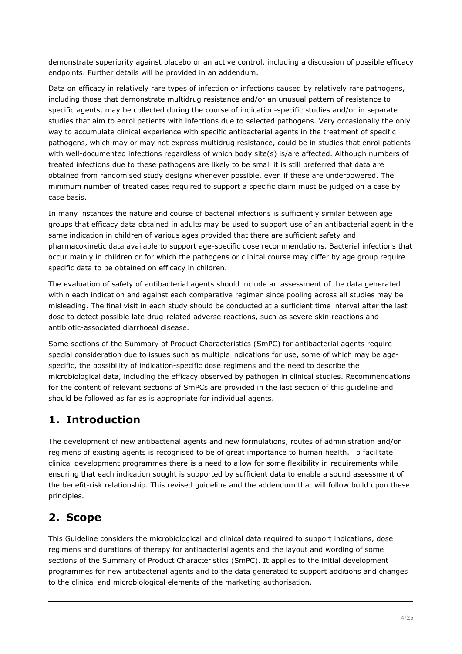demonstrate superiority against placebo or an active control, including a discussion of possible efficacy endpoints. Further details will be provided in an addendum.

Data on efficacy in relatively rare types of infection or infections caused by relatively rare pathogens, including those that demonstrate multidrug resistance and/or an unusual pattern of resistance to specific agents, may be collected during the course of indication-specific studies and/or in separate studies that aim to enrol patients with infections due to selected pathogens. Very occasionally the only way to accumulate clinical experience with specific antibacterial agents in the treatment of specific pathogens, which may or may not express multidrug resistance, could be in studies that enrol patients with well-documented infections regardless of which body site(s) is/are affected. Although numbers of treated infections due to these pathogens are likely to be small it is still preferred that data are obtained from randomised study designs whenever possible, even if these are underpowered. The minimum number of treated cases required to support a specific claim must be judged on a case by case basis.

In many instances the nature and course of bacterial infections is sufficiently similar between age groups that efficacy data obtained in adults may be used to support use of an antibacterial agent in the same indication in children of various ages provided that there are sufficient safety and pharmacokinetic data available to support age-specific dose recommendations. Bacterial infections that occur mainly in children or for which the pathogens or clinical course may differ by age group require specific data to be obtained on efficacy in children.

The evaluation of safety of antibacterial agents should include an assessment of the data generated within each indication and against each comparative regimen since pooling across all studies may be misleading. The final visit in each study should be conducted at a sufficient time interval after the last dose to detect possible late drug-related adverse reactions, such as severe skin reactions and antibiotic-associated diarrhoeal disease.

Some sections of the Summary of Product Characteristics (SmPC) for antibacterial agents require special consideration due to issues such as multiple indications for use, some of which may be agespecific, the possibility of indication-specific dose regimens and the need to describe the microbiological data, including the efficacy observed by pathogen in clinical studies. Recommendations for the content of relevant sections of SmPCs are provided in the last section of this guideline and should be followed as far as is appropriate for individual agents.

# <span id="page-3-0"></span>**1. Introduction**

The development of new antibacterial agents and new formulations, routes of administration and/or regimens of existing agents is recognised to be of great importance to human health. To facilitate clinical development programmes there is a need to allow for some flexibility in requirements while ensuring that each indication sought is supported by sufficient data to enable a sound assessment of the benefit-risk relationship. This revised guideline and the addendum that will follow build upon these principles.

# <span id="page-3-1"></span>**2. Scope**

This Guideline considers the microbiological and clinical data required to support indications, dose regimens and durations of therapy for antibacterial agents and the layout and wording of some sections of the Summary of Product Characteristics (SmPC). It applies to the initial development programmes for new antibacterial agents and to the data generated to support additions and changes to the clinical and microbiological elements of the marketing authorisation.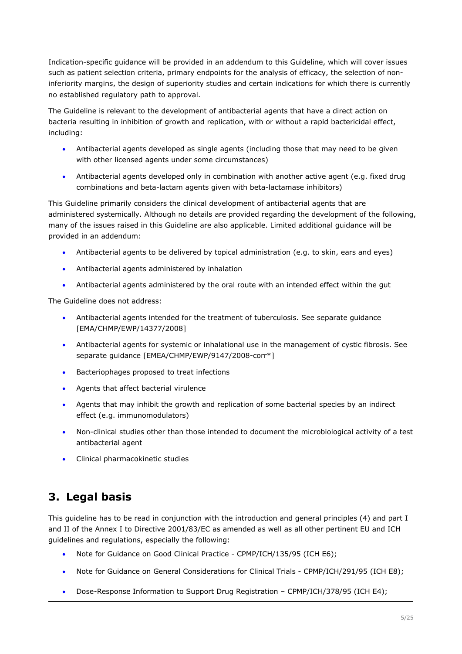Indication-specific guidance will be provided in an addendum to this Guideline, which will cover issues such as patient selection criteria, primary endpoints for the analysis of efficacy, the selection of noninferiority margins, the design of superiority studies and certain indications for which there is currently no established regulatory path to approval.

The Guideline is relevant to the development of antibacterial agents that have a direct action on bacteria resulting in inhibition of growth and replication, with or without a rapid bactericidal effect, including:

- Antibacterial agents developed as single agents (including those that may need to be given with other licensed agents under some circumstances)
- Antibacterial agents developed only in combination with another active agent (e.g. fixed drug combinations and beta-lactam agents given with beta-lactamase inhibitors)

This Guideline primarily considers the clinical development of antibacterial agents that are administered systemically. Although no details are provided regarding the development of the following, many of the issues raised in this Guideline are also applicable. Limited additional guidance will be provided in an addendum:

- Antibacterial agents to be delivered by topical administration (e.g. to skin, ears and eyes)
- Antibacterial agents administered by inhalation
- Antibacterial agents administered by the oral route with an intended effect within the gut

The Guideline does not address:

- Antibacterial agents intended for the treatment of tuberculosis. See separate guidance [EMA/CHMP/EWP/14377/2008]
- Antibacterial agents for systemic or inhalational use in the management of cystic fibrosis. See separate guidance [EMEA/CHMP/EWP/9147/2008-corr\*]
- Bacteriophages proposed to treat infections
- Agents that affect bacterial virulence
- Agents that may inhibit the growth and replication of some bacterial species by an indirect effect (e.g. immunomodulators)
- Non-clinical studies other than those intended to document the microbiological activity of a test antibacterial agent
- **•** Clinical pharmacokinetic studies

# <span id="page-4-0"></span>**3. Legal basis**

This guideline has to be read in conjunction with the introduction and general principles (4) and part I and II of the Annex I to Directive 2001/83/EC as amended as well as all other pertinent EU and ICH guidelines and regulations, especially the following:

- Note for Guidance on Good Clinical Practice CPMP/ICH/135/95 (ICH E6);
- Note for Guidance on General Considerations for Clinical Trials CPMP/ICH/291/95 (ICH E8);
- Dose-Response Information to Support Drug Registration CPMP/ICH/378/95 (ICH E4);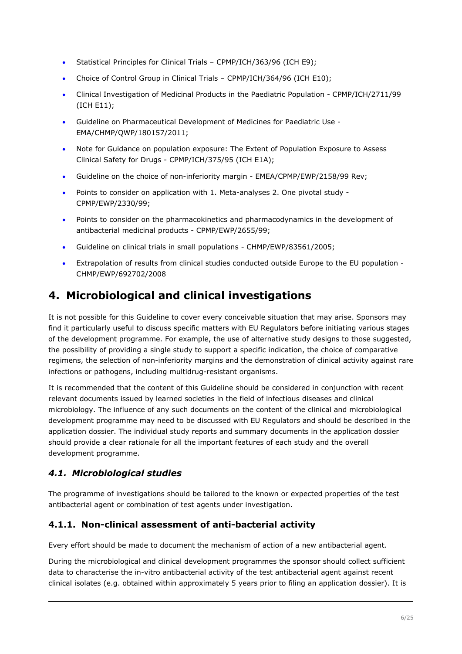- Statistical Principles for Clinical Trials CPMP/ICH/363/96 (ICH E9);
- Choice of Control Group in Clinical Trials CPMP/ICH/364/96 (ICH E10);
- Clinical Investigation of Medicinal Products in the Paediatric Population CPMP/ICH/2711/99 (ICH E11);
- Guideline on Pharmaceutical Development of Medicines for Paediatric Use EMA/CHMP/QWP/180157/2011;
- Note for Guidance on population exposure: The Extent of Population Exposure to Assess Clinical Safety for Drugs - CPMP/ICH/375/95 (ICH E1A);
- Guideline on the choice of non-inferiority margin EMEA/CPMP/EWP/2158/99 Rev;
- Points to consider on application with 1. Meta-analyses 2. One pivotal study CPMP/EWP/2330/99;
- Points to consider on the pharmacokinetics and pharmacodynamics in the development of antibacterial medicinal products - CPMP/EWP/2655/99;
- Guideline on clinical trials in small populations CHMP/EWP/83561/2005;
- Extrapolation of results from clinical studies conducted outside Europe to the EU population CHMP/EWP/692702/2008

# <span id="page-5-0"></span>**4. Microbiological and clinical investigations**

It is not possible for this Guideline to cover every conceivable situation that may arise. Sponsors may find it particularly useful to discuss specific matters with EU Regulators before initiating various stages of the development programme. For example, the use of alternative study designs to those suggested, the possibility of providing a single study to support a specific indication, the choice of comparative regimens, the selection of non-inferiority margins and the demonstration of clinical activity against rare infections or pathogens, including multidrug-resistant organisms.

It is recommended that the content of this Guideline should be considered in conjunction with recent relevant documents issued by learned societies in the field of infectious diseases and clinical microbiology. The influence of any such documents on the content of the clinical and microbiological development programme may need to be discussed with EU Regulators and should be described in the application dossier. The individual study reports and summary documents in the application dossier should provide a clear rationale for all the important features of each study and the overall development programme.

# <span id="page-5-1"></span>*4.1. Microbiological studies*

The programme of investigations should be tailored to the known or expected properties of the test antibacterial agent or combination of test agents under investigation.

# <span id="page-5-2"></span>**4.1.1. Non-clinical assessment of anti-bacterial activity**

Every effort should be made to document the mechanism of action of a new antibacterial agent.

During the microbiological and clinical development programmes the sponsor should collect sufficient data to characterise the in-vitro antibacterial activity of the test antibacterial agent against recent clinical isolates (e.g. obtained within approximately 5 years prior to filing an application dossier). It is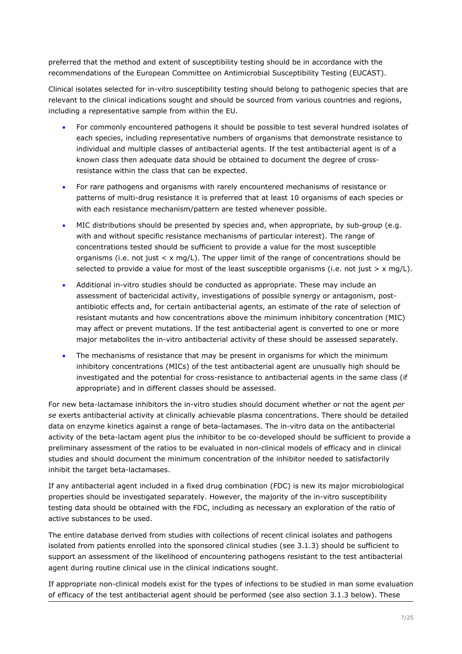preferred that the method and extent of susceptibility testing should be in accordance with the recommendations of the European Committee on Antimicrobial Susceptibility Testing (EUCAST).

Clinical isolates selected for in-vitro susceptibility testing should belong to pathogenic species that are relevant to the clinical indications sought and should be sourced from various countries and regions, including a representative sample from within the EU.

- For commonly encountered pathogens it should be possible to test several hundred isolates of each species, including representative numbers of organisms that demonstrate resistance to individual and multiple classes of antibacterial agents. If the test antibacterial agent is of a known class then adequate data should be obtained to document the degree of crossresistance within the class that can be expected.
- For rare pathogens and organisms with rarely encountered mechanisms of resistance or patterns of multi-drug resistance it is preferred that at least 10 organisms of each species or with each resistance mechanism/pattern are tested whenever possible.
- MIC distributions should be presented by species and, when appropriate, by sub-group (e.g. with and without specific resistance mechanisms of particular interest). The range of concentrations tested should be sufficient to provide a value for the most susceptible organisms (i.e. not just  $\lt x$  mg/L). The upper limit of the range of concentrations should be selected to provide a value for most of the least susceptible organisms (i.e. not just  $> x \text{mq/L}$ ).
- Additional in-vitro studies should be conducted as appropriate. These may include an assessment of bactericidal activity, investigations of possible synergy or antagonism, postantibiotic effects and, for certain antibacterial agents, an estimate of the rate of selection of resistant mutants and how concentrations above the minimum inhibitory concentration (MIC) may affect or prevent mutations. If the test antibacterial agent is converted to one or more major metabolites the in-vitro antibacterial activity of these should be assessed separately.
- The mechanisms of resistance that may be present in organisms for which the minimum inhibitory concentrations (MICs) of the test antibacterial agent are unusually high should be investigated and the potential for cross-resistance to antibacterial agents in the same class (if appropriate) and in different classes should be assessed.

For new beta-lactamase inhibitors the in-vitro studies should document whether or not the agent *per se* exerts antibacterial activity at clinically achievable plasma concentrations. There should be detailed data on enzyme kinetics against a range of beta-lactamases. The in-vitro data on the antibacterial activity of the beta-lactam agent plus the inhibitor to be co-developed should be sufficient to provide a preliminary assessment of the ratios to be evaluated in non-clinical models of efficacy and in clinical studies and should document the minimum concentration of the inhibitor needed to satisfactorily inhibit the target beta-lactamases.

If any antibacterial agent included in a fixed drug combination (FDC) is new its major microbiological properties should be investigated separately. However, the majority of the in-vitro susceptibility testing data should be obtained with the FDC, including as necessary an exploration of the ratio of active substances to be used.

The entire database derived from studies with collections of recent clinical isolates and pathogens isolated from patients enrolled into the sponsored clinical studies (see 3.1.3) should be sufficient to support an assessment of the likelihood of encountering pathogens resistant to the test antibacterial agent during routine clinical use in the clinical indications sought.

If appropriate non-clinical models exist for the types of infections to be studied in man some evaluation of efficacy of the test antibacterial agent should be performed (see also section 3.1.3 below). These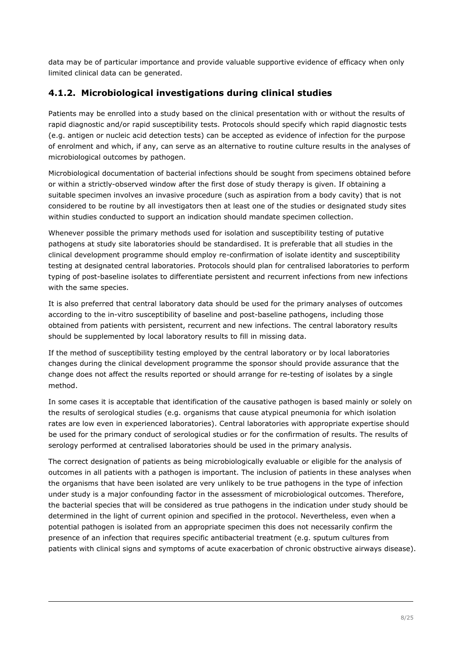data may be of particular importance and provide valuable supportive evidence of efficacy when only limited clinical data can be generated.

## <span id="page-7-0"></span>**4.1.2. Microbiological investigations during clinical studies**

Patients may be enrolled into a study based on the clinical presentation with or without the results of rapid diagnostic and/or rapid susceptibility tests. Protocols should specify which rapid diagnostic tests (e.g. antigen or nucleic acid detection tests) can be accepted as evidence of infection for the purpose of enrolment and which, if any, can serve as an alternative to routine culture results in the analyses of microbiological outcomes by pathogen.

Microbiological documentation of bacterial infections should be sought from specimens obtained before or within a strictly-observed window after the first dose of study therapy is given. If obtaining a suitable specimen involves an invasive procedure (such as aspiration from a body cavity) that is not considered to be routine by all investigators then at least one of the studies or designated study sites within studies conducted to support an indication should mandate specimen collection.

Whenever possible the primary methods used for isolation and susceptibility testing of putative pathogens at study site laboratories should be standardised. It is preferable that all studies in the clinical development programme should employ re-confirmation of isolate identity and susceptibility testing at designated central laboratories. Protocols should plan for centralised laboratories to perform typing of post-baseline isolates to differentiate persistent and recurrent infections from new infections with the same species.

It is also preferred that central laboratory data should be used for the primary analyses of outcomes according to the in-vitro susceptibility of baseline and post-baseline pathogens, including those obtained from patients with persistent, recurrent and new infections. The central laboratory results should be supplemented by local laboratory results to fill in missing data.

If the method of susceptibility testing employed by the central laboratory or by local laboratories changes during the clinical development programme the sponsor should provide assurance that the change does not affect the results reported or should arrange for re-testing of isolates by a single method.

In some cases it is acceptable that identification of the causative pathogen is based mainly or solely on the results of serological studies (e.g. organisms that cause atypical pneumonia for which isolation rates are low even in experienced laboratories). Central laboratories with appropriate expertise should be used for the primary conduct of serological studies or for the confirmation of results. The results of serology performed at centralised laboratories should be used in the primary analysis.

The correct designation of patients as being microbiologically evaluable or eligible for the analysis of outcomes in all patients with a pathogen is important. The inclusion of patients in these analyses when the organisms that have been isolated are very unlikely to be true pathogens in the type of infection under study is a major confounding factor in the assessment of microbiological outcomes. Therefore, the bacterial species that will be considered as true pathogens in the indication under study should be determined in the light of current opinion and specified in the protocol. Nevertheless, even when a potential pathogen is isolated from an appropriate specimen this does not necessarily confirm the presence of an infection that requires specific antibacterial treatment (e.g. sputum cultures from patients with clinical signs and symptoms of acute exacerbation of chronic obstructive airways disease).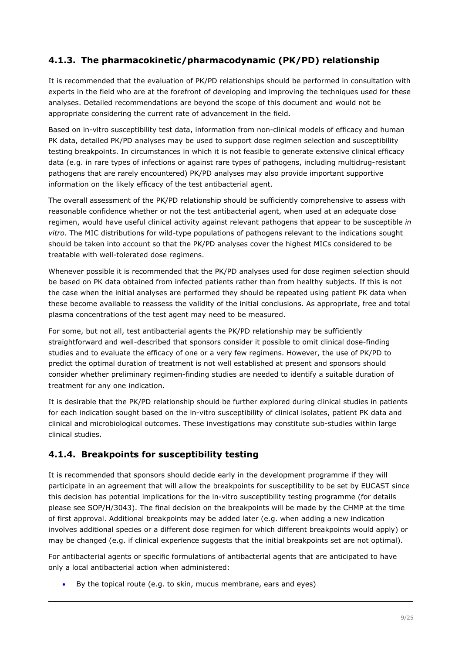# <span id="page-8-0"></span>**4.1.3. The pharmacokinetic/pharmacodynamic (PK/PD) relationship**

It is recommended that the evaluation of PK/PD relationships should be performed in consultation with experts in the field who are at the forefront of developing and improving the techniques used for these analyses. Detailed recommendations are beyond the scope of this document and would not be appropriate considering the current rate of advancement in the field.

Based on in-vitro susceptibility test data, information from non-clinical models of efficacy and human PK data, detailed PK/PD analyses may be used to support dose regimen selection and susceptibility testing breakpoints. In circumstances in which it is not feasible to generate extensive clinical efficacy data (e.g. in rare types of infections or against rare types of pathogens, including multidrug-resistant pathogens that are rarely encountered) PK/PD analyses may also provide important supportive information on the likely efficacy of the test antibacterial agent.

The overall assessment of the PK/PD relationship should be sufficiently comprehensive to assess with reasonable confidence whether or not the test antibacterial agent, when used at an adequate dose regimen, would have useful clinical activity against relevant pathogens that appear to be susceptible *in vitro*. The MIC distributions for wild-type populations of pathogens relevant to the indications sought should be taken into account so that the PK/PD analyses cover the highest MICs considered to be treatable with well-tolerated dose regimens.

Whenever possible it is recommended that the PK/PD analyses used for dose regimen selection should be based on PK data obtained from infected patients rather than from healthy subjects. If this is not the case when the initial analyses are performed they should be repeated using patient PK data when these become available to reassess the validity of the initial conclusions. As appropriate, free and total plasma concentrations of the test agent may need to be measured.

For some, but not all, test antibacterial agents the PK/PD relationship may be sufficiently straightforward and well-described that sponsors consider it possible to omit clinical dose-finding studies and to evaluate the efficacy of one or a very few regimens. However, the use of PK/PD to predict the optimal duration of treatment is not well established at present and sponsors should consider whether preliminary regimen-finding studies are needed to identify a suitable duration of treatment for any one indication.

It is desirable that the PK/PD relationship should be further explored during clinical studies in patients for each indication sought based on the in-vitro susceptibility of clinical isolates, patient PK data and clinical and microbiological outcomes. These investigations may constitute sub-studies within large clinical studies.

# <span id="page-8-1"></span>**4.1.4. Breakpoints for susceptibility testing**

It is recommended that sponsors should decide early in the development programme if they will participate in an agreement that will allow the breakpoints for susceptibility to be set by EUCAST since this decision has potential implications for the in-vitro susceptibility testing programme (for details please see SOP/H/3043). The final decision on the breakpoints will be made by the CHMP at the time of first approval. Additional breakpoints may be added later (e.g. when adding a new indication involves additional species or a different dose regimen for which different breakpoints would apply) or may be changed (e.g. if clinical experience suggests that the initial breakpoints set are not optimal).

For antibacterial agents or specific formulations of antibacterial agents that are anticipated to have only a local antibacterial action when administered:

By the topical route (e.g. to skin, mucus membrane, ears and eyes)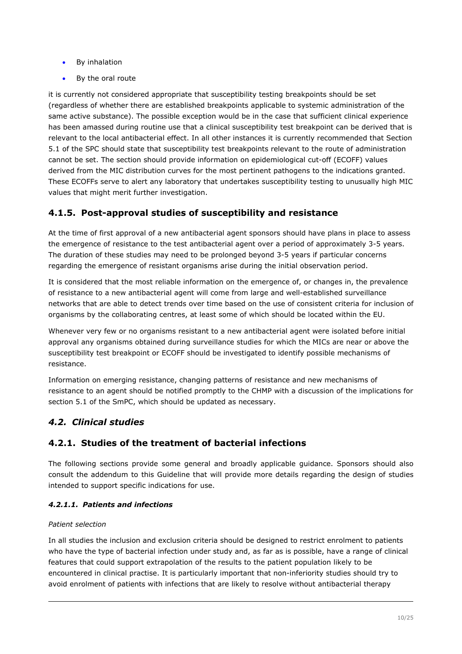- By inhalation
- By the oral route

it is currently not considered appropriate that susceptibility testing breakpoints should be set (regardless of whether there are established breakpoints applicable to systemic administration of the same active substance). The possible exception would be in the case that sufficient clinical experience has been amassed during routine use that a clinical susceptibility test breakpoint can be derived that is relevant to the local antibacterial effect. In all other instances it is currently recommended that Section 5.1 of the SPC should state that susceptibility test breakpoints relevant to the route of administration cannot be set. The section should provide information on epidemiological cut-off (ECOFF) values derived from the MIC distribution curves for the most pertinent pathogens to the indications granted. These ECOFFs serve to alert any laboratory that undertakes susceptibility testing to unusually high MIC values that might merit further investigation.

# <span id="page-9-0"></span>**4.1.5. Post-approval studies of susceptibility and resistance**

At the time of first approval of a new antibacterial agent sponsors should have plans in place to assess the emergence of resistance to the test antibacterial agent over a period of approximately 3-5 years. The duration of these studies may need to be prolonged beyond 3-5 years if particular concerns regarding the emergence of resistant organisms arise during the initial observation period.

It is considered that the most reliable information on the emergence of, or changes in, the prevalence of resistance to a new antibacterial agent will come from large and well-established surveillance networks that are able to detect trends over time based on the use of consistent criteria for inclusion of organisms by the collaborating centres, at least some of which should be located within the EU.

Whenever very few or no organisms resistant to a new antibacterial agent were isolated before initial approval any organisms obtained during surveillance studies for which the MICs are near or above the susceptibility test breakpoint or ECOFF should be investigated to identify possible mechanisms of resistance.

Information on emerging resistance, changing patterns of resistance and new mechanisms of resistance to an agent should be notified promptly to the CHMP with a discussion of the implications for section 5.1 of the SmPC, which should be updated as necessary.

# <span id="page-9-1"></span>*4.2. Clinical studies*

# <span id="page-9-2"></span>**4.2.1. Studies of the treatment of bacterial infections**

The following sections provide some general and broadly applicable guidance. Sponsors should also consult the addendum to this Guideline that will provide more details regarding the design of studies intended to support specific indications for use.

## *4.2.1.1. Patients and infections*

### *Patient selection*

In all studies the inclusion and exclusion criteria should be designed to restrict enrolment to patients who have the type of bacterial infection under study and, as far as is possible, have a range of clinical features that could support extrapolation of the results to the patient population likely to be encountered in clinical practise. It is particularly important that non-inferiority studies should try to avoid enrolment of patients with infections that are likely to resolve without antibacterial therapy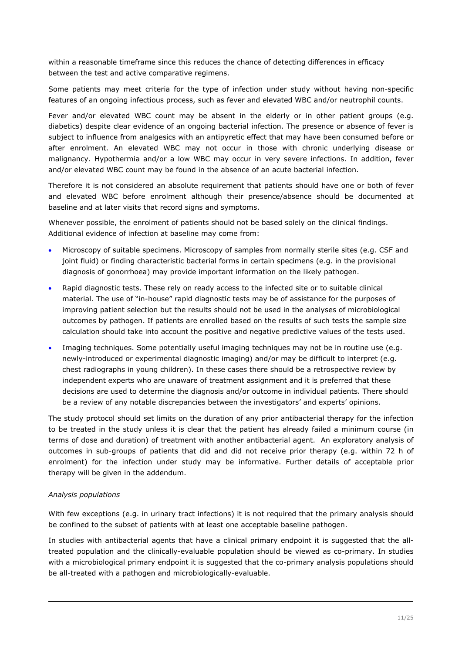within a reasonable timeframe since this reduces the chance of detecting differences in efficacy between the test and active comparative regimens.

Some patients may meet criteria for the type of infection under study without having non-specific features of an ongoing infectious process, such as fever and elevated WBC and/or neutrophil counts.

Fever and/or elevated WBC count may be absent in the elderly or in other patient groups (e.g. diabetics) despite clear evidence of an ongoing bacterial infection. The presence or absence of fever is subject to influence from analgesics with an antipyretic effect that may have been consumed before or after enrolment. An elevated WBC may not occur in those with chronic underlying disease or malignancy. Hypothermia and/or a low WBC may occur in very severe infections. In addition, fever and/or elevated WBC count may be found in the absence of an acute bacterial infection.

Therefore it is not considered an absolute requirement that patients should have one or both of fever and elevated WBC before enrolment although their presence/absence should be documented at baseline and at later visits that record signs and symptoms.

Whenever possible, the enrolment of patients should not be based solely on the clinical findings. Additional evidence of infection at baseline may come from:

- Microscopy of suitable specimens. Microscopy of samples from normally sterile sites (e.g. CSF and joint fluid) or finding characteristic bacterial forms in certain specimens (e.g. in the provisional diagnosis of gonorrhoea) may provide important information on the likely pathogen.
- Rapid diagnostic tests. These rely on ready access to the infected site or to suitable clinical material. The use of "in-house" rapid diagnostic tests may be of assistance for the purposes of improving patient selection but the results should not be used in the analyses of microbiological outcomes by pathogen. If patients are enrolled based on the results of such tests the sample size calculation should take into account the positive and negative predictive values of the tests used.
- Imaging techniques. Some potentially useful imaging techniques may not be in routine use (e.g. newly-introduced or experimental diagnostic imaging) and/or may be difficult to interpret (e.g. chest radiographs in young children). In these cases there should be a retrospective review by independent experts who are unaware of treatment assignment and it is preferred that these decisions are used to determine the diagnosis and/or outcome in individual patients. There should be a review of any notable discrepancies between the investigators' and experts' opinions.

The study protocol should set limits on the duration of any prior antibacterial therapy for the infection to be treated in the study unless it is clear that the patient has already failed a minimum course (in terms of dose and duration) of treatment with another antibacterial agent. An exploratory analysis of outcomes in sub-groups of patients that did and did not receive prior therapy (e.g. within 72 h of enrolment) for the infection under study may be informative. Further details of acceptable prior therapy will be given in the addendum.

#### *Analysis populations*

With few exceptions (e.g. in urinary tract infections) it is not required that the primary analysis should be confined to the subset of patients with at least one acceptable baseline pathogen.

In studies with antibacterial agents that have a clinical primary endpoint it is suggested that the alltreated population and the clinically-evaluable population should be viewed as co-primary. In studies with a microbiological primary endpoint it is suggested that the co-primary analysis populations should be all-treated with a pathogen and microbiologically-evaluable.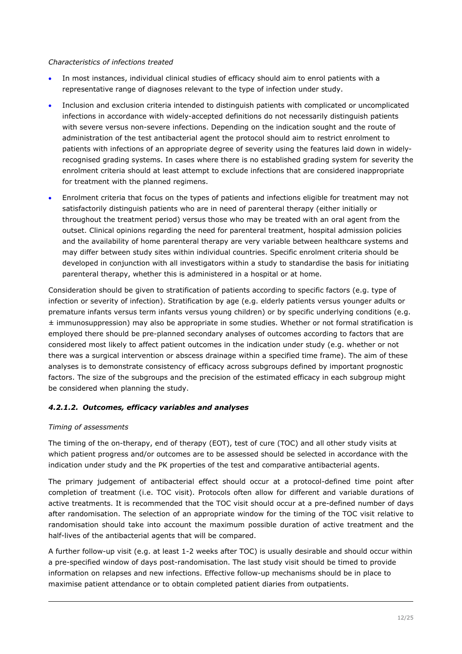#### *Characteristics of infections treated*

- In most instances, individual clinical studies of efficacy should aim to enrol patients with a representative range of diagnoses relevant to the type of infection under study.
- Inclusion and exclusion criteria intended to distinguish patients with complicated or uncomplicated infections in accordance with widely-accepted definitions do not necessarily distinguish patients with severe versus non-severe infections. Depending on the indication sought and the route of administration of the test antibacterial agent the protocol should aim to restrict enrolment to patients with infections of an appropriate degree of severity using the features laid down in widelyrecognised grading systems. In cases where there is no established grading system for severity the enrolment criteria should at least attempt to exclude infections that are considered inappropriate for treatment with the planned regimens.
- Enrolment criteria that focus on the types of patients and infections eligible for treatment may not satisfactorily distinguish patients who are in need of parenteral therapy (either initially or throughout the treatment period) versus those who may be treated with an oral agent from the outset. Clinical opinions regarding the need for parenteral treatment, hospital admission policies and the availability of home parenteral therapy are very variable between healthcare systems and may differ between study sites within individual countries. Specific enrolment criteria should be developed in conjunction with all investigators within a study to standardise the basis for initiating parenteral therapy, whether this is administered in a hospital or at home.

Consideration should be given to stratification of patients according to specific factors (e.g. type of infection or severity of infection). Stratification by age (e.g. elderly patients versus younger adults or premature infants versus term infants versus young children) or by specific underlying conditions (e.g.  $\pm$  immunosuppression) may also be appropriate in some studies. Whether or not formal stratification is employed there should be pre-planned secondary analyses of outcomes according to factors that are considered most likely to affect patient outcomes in the indication under study (e.g. whether or not there was a surgical intervention or abscess drainage within a specified time frame). The aim of these analyses is to demonstrate consistency of efficacy across subgroups defined by important prognostic factors. The size of the subgroups and the precision of the estimated efficacy in each subgroup might be considered when planning the study.

### *4.2.1.2. Outcomes, efficacy variables and analyses*

#### *Timing of assessments*

The timing of the on-therapy, end of therapy (EOT), test of cure (TOC) and all other study visits at which patient progress and/or outcomes are to be assessed should be selected in accordance with the indication under study and the PK properties of the test and comparative antibacterial agents.

The primary judgement of antibacterial effect should occur at a protocol-defined time point after completion of treatment (i.e. TOC visit). Protocols often allow for different and variable durations of active treatments. It is recommended that the TOC visit should occur at a pre-defined number of days after randomisation. The selection of an appropriate window for the timing of the TOC visit relative to randomisation should take into account the maximum possible duration of active treatment and the half-lives of the antibacterial agents that will be compared.

A further follow-up visit (e.g. at least 1-2 weeks after TOC) is usually desirable and should occur within a pre-specified window of days post-randomisation. The last study visit should be timed to provide information on relapses and new infections. Effective follow-up mechanisms should be in place to maximise patient attendance or to obtain completed patient diaries from outpatients.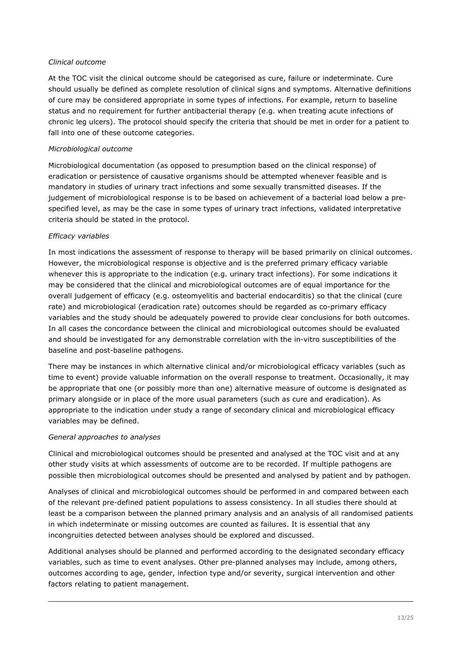#### *Clinical outcome*

At the TOC visit the clinical outcome should be categorised as cure, failure or indeterminate. Cure should usually be defined as complete resolution of clinical signs and symptoms. Alternative definitions of cure may be considered appropriate in some types of infections. For example, return to baseline status and no requirement for further antibacterial therapy (e.g. when treating acute infections of chronic leg ulcers). The protocol should specify the criteria that should be met in order for a patient to fall into one of these outcome categories.

#### *Microbiological outcome*

Microbiological documentation (as opposed to presumption based on the clinical response) of eradication or persistence of causative organisms should be attempted whenever feasible and is mandatory in studies of urinary tract infections and some sexually transmitted diseases. If the judgement of microbiological response is to be based on achievement of a bacterial load below a prespecified level, as may be the case in some types of urinary tract infections, validated interpretative criteria should be stated in the protocol.

#### *Efficacy variables*

In most indications the assessment of response to therapy will be based primarily on clinical outcomes. However, the microbiological response is objective and is the preferred primary efficacy variable whenever this is appropriate to the indication (e.g. urinary tract infections). For some indications it may be considered that the clinical and microbiological outcomes are of equal importance for the overall judgement of efficacy (e.g. osteomyelitis and bacterial endocarditis) so that the clinical (cure rate) and microbiological (eradication rate) outcomes should be regarded as co-primary efficacy variables and the study should be adequately powered to provide clear conclusions for both outcomes. In all cases the concordance between the clinical and microbiological outcomes should be evaluated and should be investigated for any demonstrable correlation with the in-vitro susceptibilities of the baseline and post-baseline pathogens.

There may be instances in which alternative clinical and/or microbiological efficacy variables (such as time to event) provide valuable information on the overall response to treatment. Occasionally, it may be appropriate that one (or possibly more than one) alternative measure of outcome is designated as primary alongside or in place of the more usual parameters (such as cure and eradication). As appropriate to the indication under study a range of secondary clinical and microbiological efficacy variables may be defined.

#### *General approaches to analyses*

Clinical and microbiological outcomes should be presented and analysed at the TOC visit and at any other study visits at which assessments of outcome are to be recorded. If multiple pathogens are possible then microbiological outcomes should be presented and analysed by patient and by pathogen.

Analyses of clinical and microbiological outcomes should be performed in and compared between each of the relevant pre-defined patient populations to assess consistency. In all studies there should at least be a comparison between the planned primary analysis and an analysis of all randomised patients in which indeterminate or missing outcomes are counted as failures. It is essential that any incongruities detected between analyses should be explored and discussed.

Additional analyses should be planned and performed according to the designated secondary efficacy variables, such as time to event analyses. Other pre-planned analyses may include, among others, outcomes according to age, gender, infection type and/or severity, surgical intervention and other factors relating to patient management.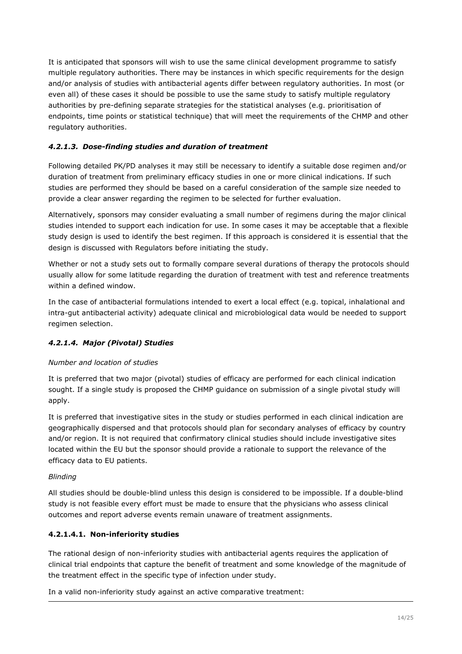It is anticipated that sponsors will wish to use the same clinical development programme to satisfy multiple regulatory authorities. There may be instances in which specific requirements for the design and/or analysis of studies with antibacterial agents differ between regulatory authorities. In most (or even all) of these cases it should be possible to use the same study to satisfy multiple regulatory authorities by pre-defining separate strategies for the statistical analyses (e.g. prioritisation of endpoints, time points or statistical technique) that will meet the requirements of the CHMP and other regulatory authorities.

### *4.2.1.3. Dose-finding studies and duration of treatment*

Following detailed PK/PD analyses it may still be necessary to identify a suitable dose regimen and/or duration of treatment from preliminary efficacy studies in one or more clinical indications. If such studies are performed they should be based on a careful consideration of the sample size needed to provide a clear answer regarding the regimen to be selected for further evaluation.

Alternatively, sponsors may consider evaluating a small number of regimens during the major clinical studies intended to support each indication for use. In some cases it may be acceptable that a flexible study design is used to identify the best regimen. If this approach is considered it is essential that the design is discussed with Regulators before initiating the study.

Whether or not a study sets out to formally compare several durations of therapy the protocols should usually allow for some latitude regarding the duration of treatment with test and reference treatments within a defined window.

In the case of antibacterial formulations intended to exert a local effect (e.g. topical, inhalational and intra-gut antibacterial activity) adequate clinical and microbiological data would be needed to support regimen selection.

## *4.2.1.4. Major (Pivotal) Studies*

### *Number and location of studies*

It is preferred that two major (pivotal) studies of efficacy are performed for each clinical indication sought. If a single study is proposed the CHMP guidance on submission of a single pivotal study will apply.

It is preferred that investigative sites in the study or studies performed in each clinical indication are geographically dispersed and that protocols should plan for secondary analyses of efficacy by country and/or region. It is not required that confirmatory clinical studies should include investigative sites located within the EU but the sponsor should provide a rationale to support the relevance of the efficacy data to EU patients.

#### *Blinding*

All studies should be double-blind unless this design is considered to be impossible. If a double-blind study is not feasible every effort must be made to ensure that the physicians who assess clinical outcomes and report adverse events remain unaware of treatment assignments.

### **4.2.1.4.1. Non-inferiority studies**

The rational design of non-inferiority studies with antibacterial agents requires the application of clinical trial endpoints that capture the benefit of treatment and some knowledge of the magnitude of the treatment effect in the specific type of infection under study.

In a valid non-inferiority study against an active comparative treatment: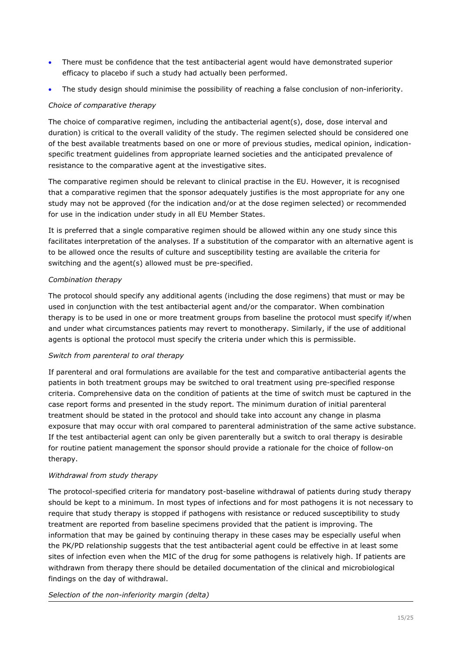- There must be confidence that the test antibacterial agent would have demonstrated superior efficacy to placebo if such a study had actually been performed.
- The study design should minimise the possibility of reaching a false conclusion of non-inferiority.

#### *Choice of comparative therapy*

The choice of comparative regimen, including the antibacterial agent(s), dose, dose interval and duration) is critical to the overall validity of the study. The regimen selected should be considered one of the best available treatments based on one or more of previous studies, medical opinion, indicationspecific treatment guidelines from appropriate learned societies and the anticipated prevalence of resistance to the comparative agent at the investigative sites.

The comparative regimen should be relevant to clinical practise in the EU. However, it is recognised that a comparative regimen that the sponsor adequately justifies is the most appropriate for any one study may not be approved (for the indication and/or at the dose regimen selected) or recommended for use in the indication under study in all EU Member States.

It is preferred that a single comparative regimen should be allowed within any one study since this facilitates interpretation of the analyses. If a substitution of the comparator with an alternative agent is to be allowed once the results of culture and susceptibility testing are available the criteria for switching and the agent(s) allowed must be pre-specified.

#### *Combination therapy*

The protocol should specify any additional agents (including the dose regimens) that must or may be used in conjunction with the test antibacterial agent and/or the comparator. When combination therapy is to be used in one or more treatment groups from baseline the protocol must specify if/when and under what circumstances patients may revert to monotherapy. Similarly, if the use of additional agents is optional the protocol must specify the criteria under which this is permissible.

#### *Switch from parenteral to oral therapy*

If parenteral and oral formulations are available for the test and comparative antibacterial agents the patients in both treatment groups may be switched to oral treatment using pre-specified response criteria. Comprehensive data on the condition of patients at the time of switch must be captured in the case report forms and presented in the study report. The minimum duration of initial parenteral treatment should be stated in the protocol and should take into account any change in plasma exposure that may occur with oral compared to parenteral administration of the same active substance. If the test antibacterial agent can only be given parenterally but a switch to oral therapy is desirable for routine patient management the sponsor should provide a rationale for the choice of follow-on therapy.

#### *Withdrawal from study therapy*

The protocol-specified criteria for mandatory post-baseline withdrawal of patients during study therapy should be kept to a minimum. In most types of infections and for most pathogens it is not necessary to require that study therapy is stopped if pathogens with resistance or reduced susceptibility to study treatment are reported from baseline specimens provided that the patient is improving. The information that may be gained by continuing therapy in these cases may be especially useful when the PK/PD relationship suggests that the test antibacterial agent could be effective in at least some sites of infection even when the MIC of the drug for some pathogens is relatively high. If patients are withdrawn from therapy there should be detailed documentation of the clinical and microbiological findings on the day of withdrawal.

#### *Selection of the non-inferiority margin (delta)*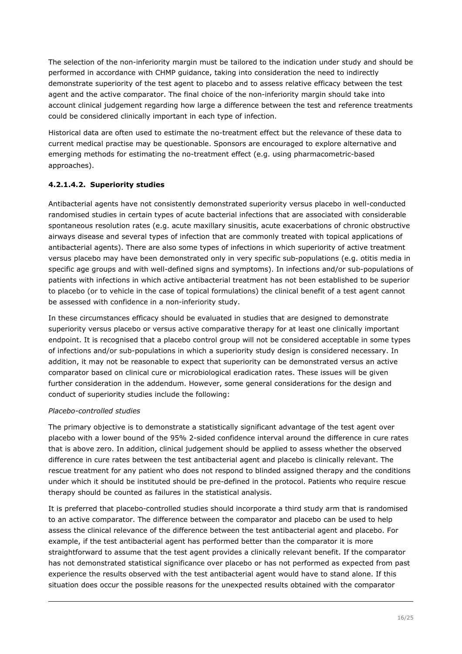The selection of the non-inferiority margin must be tailored to the indication under study and should be performed in accordance with CHMP guidance, taking into consideration the need to indirectly demonstrate superiority of the test agent to placebo and to assess relative efficacy between the test agent and the active comparator. The final choice of the non-inferiority margin should take into account clinical judgement regarding how large a difference between the test and reference treatments could be considered clinically important in each type of infection.

Historical data are often used to estimate the no-treatment effect but the relevance of these data to current medical practise may be questionable. Sponsors are encouraged to explore alternative and emerging methods for estimating the no-treatment effect (e.g. using pharmacometric-based approaches).

### **4.2.1.4.2. Superiority studies**

Antibacterial agents have not consistently demonstrated superiority versus placebo in well-conducted randomised studies in certain types of acute bacterial infections that are associated with considerable spontaneous resolution rates (e.g. acute maxillary sinusitis, acute exacerbations of chronic obstructive airways disease and several types of infection that are commonly treated with topical applications of antibacterial agents). There are also some types of infections in which superiority of active treatment versus placebo may have been demonstrated only in very specific sub-populations (e.g. otitis media in specific age groups and with well-defined signs and symptoms). In infections and/or sub-populations of patients with infections in which active antibacterial treatment has not been established to be superior to placebo (or to vehicle in the case of topical formulations) the clinical benefit of a test agent cannot be assessed with confidence in a non-inferiority study.

In these circumstances efficacy should be evaluated in studies that are designed to demonstrate superiority versus placebo or versus active comparative therapy for at least one clinically important endpoint. It is recognised that a placebo control group will not be considered acceptable in some types of infections and/or sub-populations in which a superiority study design is considered necessary. In addition, it may not be reasonable to expect that superiority can be demonstrated versus an active comparator based on clinical cure or microbiological eradication rates. These issues will be given further consideration in the addendum. However, some general considerations for the design and conduct of superiority studies include the following:

#### *Placebo-controlled studies*

The primary objective is to demonstrate a statistically significant advantage of the test agent over placebo with a lower bound of the 95% 2-sided confidence interval around the difference in cure rates that is above zero. In addition, clinical judgement should be applied to assess whether the observed difference in cure rates between the test antibacterial agent and placebo is clinically relevant. The rescue treatment for any patient who does not respond to blinded assigned therapy and the conditions under which it should be instituted should be pre-defined in the protocol. Patients who require rescue therapy should be counted as failures in the statistical analysis.

It is preferred that placebo-controlled studies should incorporate a third study arm that is randomised to an active comparator. The difference between the comparator and placebo can be used to help assess the clinical relevance of the difference between the test antibacterial agent and placebo. For example, if the test antibacterial agent has performed better than the comparator it is more straightforward to assume that the test agent provides a clinically relevant benefit. If the comparator has not demonstrated statistical significance over placebo or has not performed as expected from past experience the results observed with the test antibacterial agent would have to stand alone. If this situation does occur the possible reasons for the unexpected results obtained with the comparator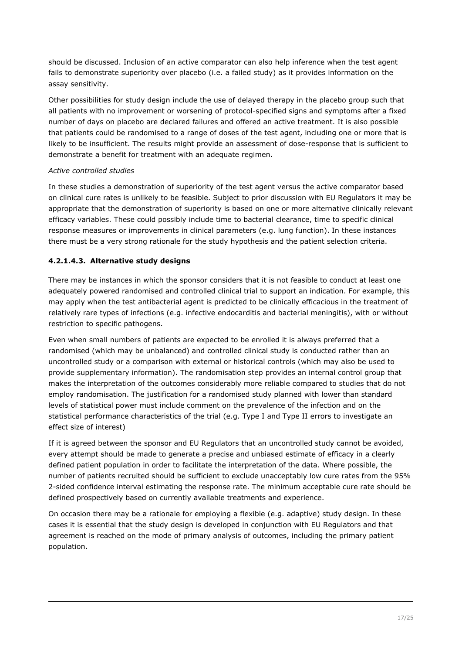should be discussed. Inclusion of an active comparator can also help inference when the test agent fails to demonstrate superiority over placebo (i.e. a failed study) as it provides information on the assay sensitivity.

Other possibilities for study design include the use of delayed therapy in the placebo group such that all patients with no improvement or worsening of protocol-specified signs and symptoms after a fixed number of days on placebo are declared failures and offered an active treatment. It is also possible that patients could be randomised to a range of doses of the test agent, including one or more that is likely to be insufficient. The results might provide an assessment of dose-response that is sufficient to demonstrate a benefit for treatment with an adequate regimen.

### *Active controlled studies*

In these studies a demonstration of superiority of the test agent versus the active comparator based on clinical cure rates is unlikely to be feasible. Subject to prior discussion with EU Regulators it may be appropriate that the demonstration of superiority is based on one or more alternative clinically relevant efficacy variables. These could possibly include time to bacterial clearance, time to specific clinical response measures or improvements in clinical parameters (e.g. lung function). In these instances there must be a very strong rationale for the study hypothesis and the patient selection criteria.

### **4.2.1.4.3. Alternative study designs**

There may be instances in which the sponsor considers that it is not feasible to conduct at least one adequately powered randomised and controlled clinical trial to support an indication. For example, this may apply when the test antibacterial agent is predicted to be clinically efficacious in the treatment of relatively rare types of infections (e.g. infective endocarditis and bacterial meningitis), with or without restriction to specific pathogens.

Even when small numbers of patients are expected to be enrolled it is always preferred that a randomised (which may be unbalanced) and controlled clinical study is conducted rather than an uncontrolled study or a comparison with external or historical controls (which may also be used to provide supplementary information). The randomisation step provides an internal control group that makes the interpretation of the outcomes considerably more reliable compared to studies that do not employ randomisation. The justification for a randomised study planned with lower than standard levels of statistical power must include comment on the prevalence of the infection and on the statistical performance characteristics of the trial (e.g. Type I and Type II errors to investigate an effect size of interest)

If it is agreed between the sponsor and EU Regulators that an uncontrolled study cannot be avoided, every attempt should be made to generate a precise and unbiased estimate of efficacy in a clearly defined patient population in order to facilitate the interpretation of the data. Where possible, the number of patients recruited should be sufficient to exclude unacceptably low cure rates from the 95% 2-sided confidence interval estimating the response rate. The minimum acceptable cure rate should be defined prospectively based on currently available treatments and experience.

On occasion there may be a rationale for employing a flexible (e.g. adaptive) study design. In these cases it is essential that the study design is developed in conjunction with EU Regulators and that agreement is reached on the mode of primary analysis of outcomes, including the primary patient population.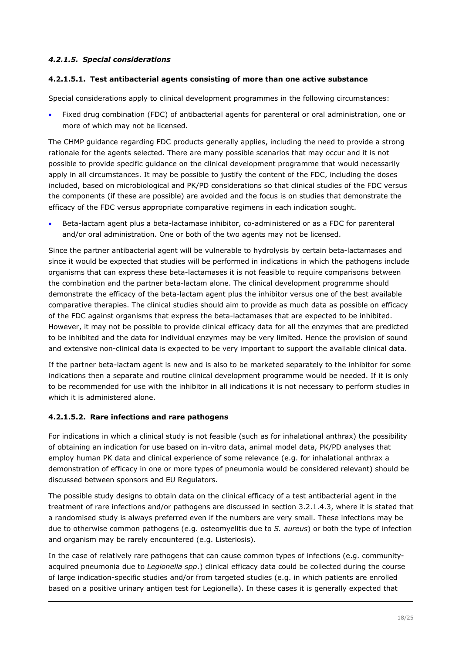### *4.2.1.5. Special considerations*

#### **4.2.1.5.1. Test antibacterial agents consisting of more than one active substance**

Special considerations apply to clinical development programmes in the following circumstances:

 Fixed drug combination (FDC) of antibacterial agents for parenteral or oral administration, one or more of which may not be licensed.

The CHMP guidance regarding FDC products generally applies, including the need to provide a strong rationale for the agents selected. There are many possible scenarios that may occur and it is not possible to provide specific guidance on the clinical development programme that would necessarily apply in all circumstances. It may be possible to justify the content of the FDC, including the doses included, based on microbiological and PK/PD considerations so that clinical studies of the FDC versus the components (if these are possible) are avoided and the focus is on studies that demonstrate the efficacy of the FDC versus appropriate comparative regimens in each indication sought.

 Beta-lactam agent plus a beta-lactamase inhibitor, co-administered or as a FDC for parenteral and/or oral administration. One or both of the two agents may not be licensed.

Since the partner antibacterial agent will be vulnerable to hydrolysis by certain beta-lactamases and since it would be expected that studies will be performed in indications in which the pathogens include organisms that can express these beta-lactamases it is not feasible to require comparisons between the combination and the partner beta-lactam alone. The clinical development programme should demonstrate the efficacy of the beta-lactam agent plus the inhibitor versus one of the best available comparative therapies. The clinical studies should aim to provide as much data as possible on efficacy of the FDC against organisms that express the beta-lactamases that are expected to be inhibited. However, it may not be possible to provide clinical efficacy data for all the enzymes that are predicted to be inhibited and the data for individual enzymes may be very limited. Hence the provision of sound and extensive non-clinical data is expected to be very important to support the available clinical data.

If the partner beta-lactam agent is new and is also to be marketed separately to the inhibitor for some indications then a separate and routine clinical development programme would be needed. If it is only to be recommended for use with the inhibitor in all indications it is not necessary to perform studies in which it is administered alone.

#### **4.2.1.5.2. Rare infections and rare pathogens**

For indications in which a clinical study is not feasible (such as for inhalational anthrax) the possibility of obtaining an indication for use based on in-vitro data, animal model data, PK/PD analyses that employ human PK data and clinical experience of some relevance (e.g. for inhalational anthrax a demonstration of efficacy in one or more types of pneumonia would be considered relevant) should be discussed between sponsors and EU Regulators.

The possible study designs to obtain data on the clinical efficacy of a test antibacterial agent in the treatment of rare infections and/or pathogens are discussed in section 3.2.1.4.3, where it is stated that a randomised study is always preferred even if the numbers are very small. These infections may be due to otherwise common pathogens (e.g. osteomyelitis due to *S. aureus*) or both the type of infection and organism may be rarely encountered (e.g. Listeriosis).

In the case of relatively rare pathogens that can cause common types of infections (e.g. communityacquired pneumonia due to *Legionella spp*.) clinical efficacy data could be collected during the course of large indication-specific studies and/or from targeted studies (e.g. in which patients are enrolled based on a positive urinary antigen test for Legionella). In these cases it is generally expected that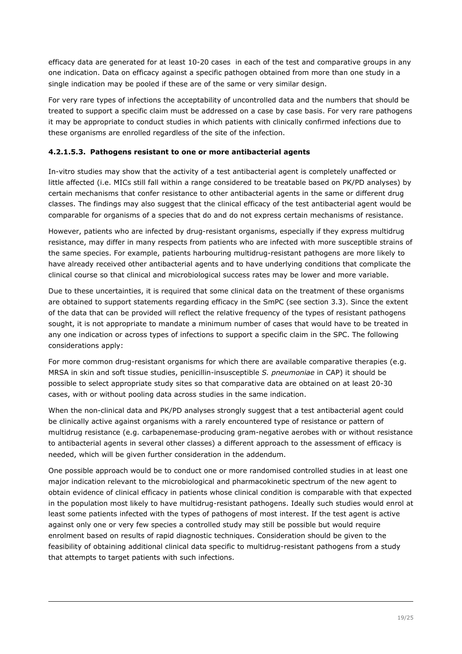efficacy data are generated for at least 10-20 cases in each of the test and comparative groups in any one indication. Data on efficacy against a specific pathogen obtained from more than one study in a single indication may be pooled if these are of the same or very similar design.

For very rare types of infections the acceptability of uncontrolled data and the numbers that should be treated to support a specific claim must be addressed on a case by case basis. For very rare pathogens it may be appropriate to conduct studies in which patients with clinically confirmed infections due to these organisms are enrolled regardless of the site of the infection.

### **4.2.1.5.3. Pathogens resistant to one or more antibacterial agents**

In-vitro studies may show that the activity of a test antibacterial agent is completely unaffected or little affected (i.e. MICs still fall within a range considered to be treatable based on PK/PD analyses) by certain mechanisms that confer resistance to other antibacterial agents in the same or different drug classes. The findings may also suggest that the clinical efficacy of the test antibacterial agent would be comparable for organisms of a species that do and do not express certain mechanisms of resistance.

However, patients who are infected by drug-resistant organisms, especially if they express multidrug resistance, may differ in many respects from patients who are infected with more susceptible strains of the same species. For example, patients harbouring multidrug-resistant pathogens are more likely to have already received other antibacterial agents and to have underlying conditions that complicate the clinical course so that clinical and microbiological success rates may be lower and more variable.

Due to these uncertainties, it is required that some clinical data on the treatment of these organisms are obtained to support statements regarding efficacy in the SmPC (see section 3.3). Since the extent of the data that can be provided will reflect the relative frequency of the types of resistant pathogens sought, it is not appropriate to mandate a minimum number of cases that would have to be treated in any one indication or across types of infections to support a specific claim in the SPC. The following considerations apply:

For more common drug-resistant organisms for which there are available comparative therapies (e.g. MRSA in skin and soft tissue studies, penicillin-insusceptible *S. pneumoniae* in CAP) it should be possible to select appropriate study sites so that comparative data are obtained on at least 20-30 cases, with or without pooling data across studies in the same indication.

When the non-clinical data and PK/PD analyses strongly suggest that a test antibacterial agent could be clinically active against organisms with a rarely encountered type of resistance or pattern of multidrug resistance (e.g. carbapenemase-producing gram-negative aerobes with or without resistance to antibacterial agents in several other classes) a different approach to the assessment of efficacy is needed, which will be given further consideration in the addendum.

One possible approach would be to conduct one or more randomised controlled studies in at least one major indication relevant to the microbiological and pharmacokinetic spectrum of the new agent to obtain evidence of clinical efficacy in patients whose clinical condition is comparable with that expected in the population most likely to have multidrug-resistant pathogens. Ideally such studies would enrol at least some patients infected with the types of pathogens of most interest. If the test agent is active against only one or very few species a controlled study may still be possible but would require enrolment based on results of rapid diagnostic techniques. Consideration should be given to the feasibility of obtaining additional clinical data specific to multidrug-resistant pathogens from a study that attempts to target patients with such infections.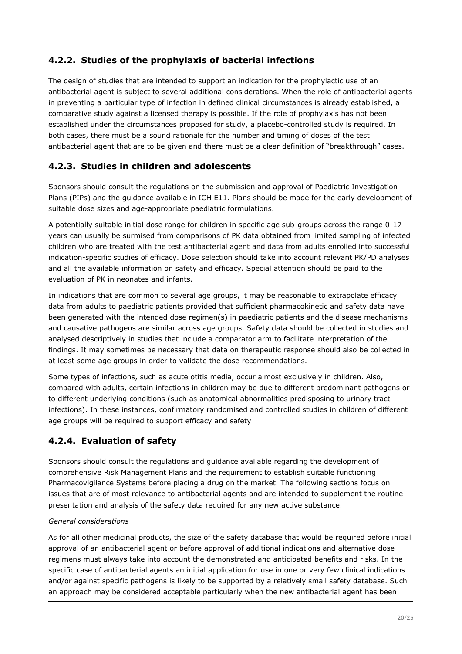# <span id="page-19-0"></span>**4.2.2. Studies of the prophylaxis of bacterial infections**

The design of studies that are intended to support an indication for the prophylactic use of an antibacterial agent is subject to several additional considerations. When the role of antibacterial agents in preventing a particular type of infection in defined clinical circumstances is already established, a comparative study against a licensed therapy is possible. If the role of prophylaxis has not been established under the circumstances proposed for study, a placebo-controlled study is required. In both cases, there must be a sound rationale for the number and timing of doses of the test antibacterial agent that are to be given and there must be a clear definition of "breakthrough" cases.

# <span id="page-19-1"></span>**4.2.3. Studies in children and adolescents**

Sponsors should consult the regulations on the submission and approval of Paediatric Investigation Plans (PIPs) and the guidance available in ICH E11. Plans should be made for the early development of suitable dose sizes and age-appropriate paediatric formulations.

A potentially suitable initial dose range for children in specific age sub-groups across the range 0-17 years can usually be surmised from comparisons of PK data obtained from limited sampling of infected children who are treated with the test antibacterial agent and data from adults enrolled into successful indication-specific studies of efficacy. Dose selection should take into account relevant PK/PD analyses and all the available information on safety and efficacy. Special attention should be paid to the evaluation of PK in neonates and infants.

In indications that are common to several age groups, it may be reasonable to extrapolate efficacy data from adults to paediatric patients provided that sufficient pharmacokinetic and safety data have been generated with the intended dose regimen(s) in paediatric patients and the disease mechanisms and causative pathogens are similar across age groups. Safety data should be collected in studies and analysed descriptively in studies that include a comparator arm to facilitate interpretation of the findings. It may sometimes be necessary that data on therapeutic response should also be collected in at least some age groups in order to validate the dose recommendations.

Some types of infections, such as acute otitis media, occur almost exclusively in children. Also, compared with adults, certain infections in children may be due to different predominant pathogens or to different underlying conditions (such as anatomical abnormalities predisposing to urinary tract infections). In these instances, confirmatory randomised and controlled studies in children of different age groups will be required to support efficacy and safety

# <span id="page-19-2"></span>**4.2.4. Evaluation of safety**

Sponsors should consult the regulations and guidance available regarding the development of comprehensive Risk Management Plans and the requirement to establish suitable functioning Pharmacovigilance Systems before placing a drug on the market. The following sections focus on issues that are of most relevance to antibacterial agents and are intended to supplement the routine presentation and analysis of the safety data required for any new active substance.

### *General considerations*

As for all other medicinal products, the size of the safety database that would be required before initial approval of an antibacterial agent or before approval of additional indications and alternative dose regimens must always take into account the demonstrated and anticipated benefits and risks. In the specific case of antibacterial agents an initial application for use in one or very few clinical indications and/or against specific pathogens is likely to be supported by a relatively small safety database. Such an approach may be considered acceptable particularly when the new antibacterial agent has been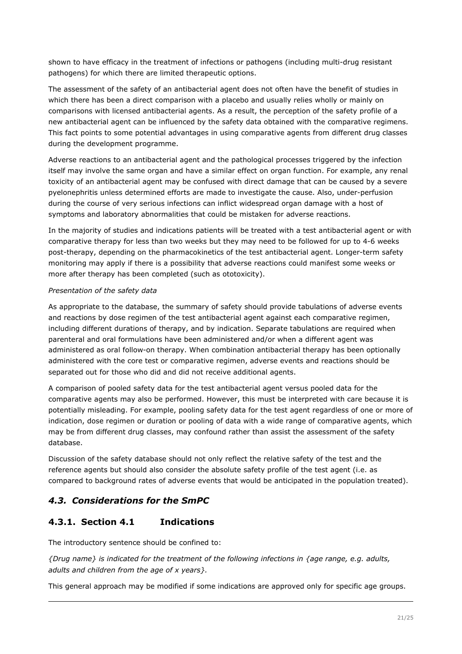shown to have efficacy in the treatment of infections or pathogens (including multi-drug resistant pathogens) for which there are limited therapeutic options.

The assessment of the safety of an antibacterial agent does not often have the benefit of studies in which there has been a direct comparison with a placebo and usually relies wholly or mainly on comparisons with licensed antibacterial agents. As a result, the perception of the safety profile of a new antibacterial agent can be influenced by the safety data obtained with the comparative regimens. This fact points to some potential advantages in using comparative agents from different drug classes during the development programme.

Adverse reactions to an antibacterial agent and the pathological processes triggered by the infection itself may involve the same organ and have a similar effect on organ function. For example, any renal toxicity of an antibacterial agent may be confused with direct damage that can be caused by a severe pyelonephritis unless determined efforts are made to investigate the cause. Also, under-perfusion during the course of very serious infections can inflict widespread organ damage with a host of symptoms and laboratory abnormalities that could be mistaken for adverse reactions.

In the majority of studies and indications patients will be treated with a test antibacterial agent or with comparative therapy for less than two weeks but they may need to be followed for up to 4-6 weeks post-therapy, depending on the pharmacokinetics of the test antibacterial agent. Longer-term safety monitoring may apply if there is a possibility that adverse reactions could manifest some weeks or more after therapy has been completed (such as ototoxicity).

#### *Presentation of the safety data*

As appropriate to the database, the summary of safety should provide tabulations of adverse events and reactions by dose regimen of the test antibacterial agent against each comparative regimen, including different durations of therapy, and by indication. Separate tabulations are required when parenteral and oral formulations have been administered and/or when a different agent was administered as oral follow-on therapy. When combination antibacterial therapy has been optionally administered with the core test or comparative regimen, adverse events and reactions should be separated out for those who did and did not receive additional agents.

A comparison of pooled safety data for the test antibacterial agent versus pooled data for the comparative agents may also be performed. However, this must be interpreted with care because it is potentially misleading. For example, pooling safety data for the test agent regardless of one or more of indication, dose regimen or duration or pooling of data with a wide range of comparative agents, which may be from different drug classes, may confound rather than assist the assessment of the safety database.

Discussion of the safety database should not only reflect the relative safety of the test and the reference agents but should also consider the absolute safety profile of the test agent (i.e. as compared to background rates of adverse events that would be anticipated in the population treated).

## <span id="page-20-0"></span>*4.3. Considerations for the SmPC*

## <span id="page-20-1"></span>**4.3.1. Section 4.1 Indications**

The introductory sentence should be confined to:

*{Drug name} is indicated for the treatment of the following infections in {age range, e.g. adults, adults and children from the age of x years}.*

This general approach may be modified if some indications are approved only for specific age groups.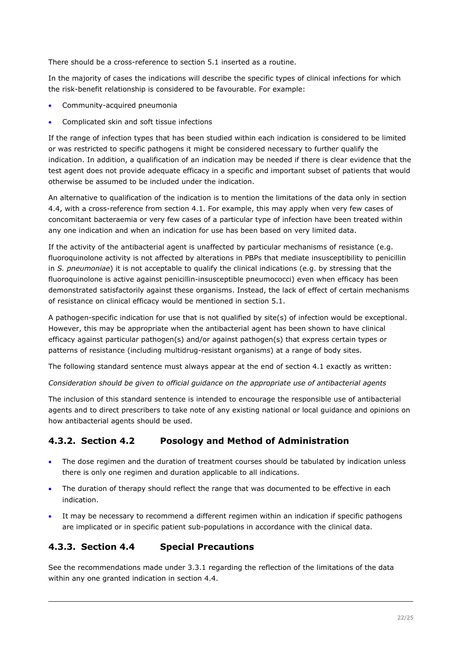There should be a cross-reference to section 5.1 inserted as a routine.

In the majority of cases the indications will describe the specific types of clinical infections for which the risk-benefit relationship is considered to be favourable. For example:

- Community-acquired pneumonia
- Complicated skin and soft tissue infections

If the range of infection types that has been studied within each indication is considered to be limited or was restricted to specific pathogens it might be considered necessary to further qualify the indication. In addition, a qualification of an indication may be needed if there is clear evidence that the test agent does not provide adequate efficacy in a specific and important subset of patients that would otherwise be assumed to be included under the indication.

An alternative to qualification of the indication is to mention the limitations of the data only in section 4.4, with a cross-reference from section 4.1. For example, this may apply when very few cases of concomitant bacteraemia or very few cases of a particular type of infection have been treated within any one indication and when an indication for use has been based on very limited data.

If the activity of the antibacterial agent is unaffected by particular mechanisms of resistance (e.g. fluoroquinolone activity is not affected by alterations in PBPs that mediate insusceptibility to penicillin in *S. pneumoniae*) it is not acceptable to qualify the clinical indications (e.g. by stressing that the fluoroquinolone is active against penicillin-insusceptible pneumococci) even when efficacy has been demonstrated satisfactorily against these organisms. Instead, the lack of effect of certain mechanisms of resistance on clinical efficacy would be mentioned in section 5.1.

A pathogen-specific indication for use that is not qualified by site(s) of infection would be exceptional. However, this may be appropriate when the antibacterial agent has been shown to have clinical efficacy against particular pathogen(s) and/or against pathogen(s) that express certain types or patterns of resistance (including multidrug-resistant organisms) at a range of body sites.

The following standard sentence must always appear at the end of section 4.1 exactly as written:

*Consideration should be given to official guidance on the appropriate use of antibacterial agents*

The inclusion of this standard sentence is intended to encourage the responsible use of antibacterial agents and to direct prescribers to take note of any existing national or local guidance and opinions on how antibacterial agents should be used.

# <span id="page-21-0"></span>**4.3.2. Section 4.2 Posology and Method of Administration**

- The dose regimen and the duration of treatment courses should be tabulated by indication unless there is only one regimen and duration applicable to all indications.
- The duration of therapy should reflect the range that was documented to be effective in each indication.
- It may be necessary to recommend a different regimen within an indication if specific pathogens are implicated or in specific patient sub-populations in accordance with the clinical data.

## <span id="page-21-1"></span>**4.3.3. Section 4.4 Special Precautions**

See the recommendations made under 3.3.1 regarding the reflection of the limitations of the data within any one granted indication in section 4.4.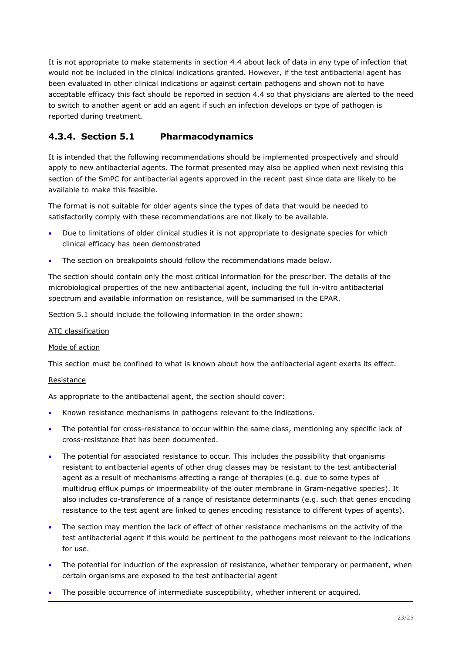It is not appropriate to make statements in section 4.4 about lack of data in any type of infection that would not be included in the clinical indications granted. However, if the test antibacterial agent has been evaluated in other clinical indications or against certain pathogens and shown not to have acceptable efficacy this fact should be reported in section 4.4 so that physicians are alerted to the need to switch to another agent or add an agent if such an infection develops or type of pathogen is reported during treatment.

# <span id="page-22-0"></span>**4.3.4. Section 5.1 Pharmacodynamics**

It is intended that the following recommendations should be implemented prospectively and should apply to new antibacterial agents. The format presented may also be applied when next revising this section of the SmPC for antibacterial agents approved in the recent past since data are likely to be available to make this feasible.

The format is not suitable for older agents since the types of data that would be needed to satisfactorily comply with these recommendations are not likely to be available.

- Due to limitations of older clinical studies it is not appropriate to designate species for which clinical efficacy has been demonstrated
- The section on breakpoints should follow the recommendations made below.

The section should contain only the most critical information for the prescriber. The details of the microbiological properties of the new antibacterial agent, including the full in-vitro antibacterial spectrum and available information on resistance, will be summarised in the EPAR.

Section 5.1 should include the following information in the order shown:

#### ATC classification

#### Mode of action

This section must be confined to what is known about how the antibacterial agent exerts its effect.

#### Resistance

As appropriate to the antibacterial agent, the section should cover:

- Known resistance mechanisms in pathogens relevant to the indications.
- The potential for cross-resistance to occur within the same class, mentioning any specific lack of cross-resistance that has been documented.
- The potential for associated resistance to occur. This includes the possibility that organisms resistant to antibacterial agents of other drug classes may be resistant to the test antibacterial agent as a result of mechanisms affecting a range of therapies (e.g. due to some types of multidrug efflux pumps or impermeability of the outer membrane in Gram-negative species). It also includes co-transference of a range of resistance determinants (e.g. such that genes encoding resistance to the test agent are linked to genes encoding resistance to different types of agents).
- The section may mention the lack of effect of other resistance mechanisms on the activity of the test antibacterial agent if this would be pertinent to the pathogens most relevant to the indications for use.
- The potential for induction of the expression of resistance, whether temporary or permanent, when certain organisms are exposed to the test antibacterial agent
- The possible occurrence of intermediate susceptibility, whether inherent or acquired.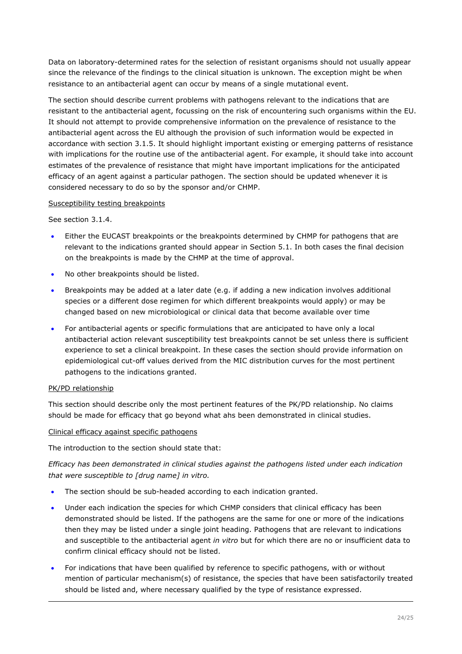Data on laboratory-determined rates for the selection of resistant organisms should not usually appear since the relevance of the findings to the clinical situation is unknown. The exception might be when resistance to an antibacterial agent can occur by means of a single mutational event.

The section should describe current problems with pathogens relevant to the indications that are resistant to the antibacterial agent, focussing on the risk of encountering such organisms within the EU. It should not attempt to provide comprehensive information on the prevalence of resistance to the antibacterial agent across the EU although the provision of such information would be expected in accordance with section 3.1.5. It should highlight important existing or emerging patterns of resistance with implications for the routine use of the antibacterial agent. For example, it should take into account estimates of the prevalence of resistance that might have important implications for the anticipated efficacy of an agent against a particular pathogen. The section should be updated whenever it is considered necessary to do so by the sponsor and/or CHMP.

#### Susceptibility testing breakpoints

See section 3.1.4.

- Either the EUCAST breakpoints or the breakpoints determined by CHMP for pathogens that are relevant to the indications granted should appear in Section 5.1. In both cases the final decision on the breakpoints is made by the CHMP at the time of approval.
- No other breakpoints should be listed.
- Breakpoints may be added at a later date (e.g. if adding a new indication involves additional species or a different dose regimen for which different breakpoints would apply) or may be changed based on new microbiological or clinical data that become available over time
- For antibacterial agents or specific formulations that are anticipated to have only a local antibacterial action relevant susceptibility test breakpoints cannot be set unless there is sufficient experience to set a clinical breakpoint. In these cases the section should provide information on epidemiological cut-off values derived from the MIC distribution curves for the most pertinent pathogens to the indications granted.

#### PK/PD relationship

This section should describe only the most pertinent features of the PK/PD relationship. No claims should be made for efficacy that go beyond what ahs been demonstrated in clinical studies.

#### Clinical efficacy against specific pathogens

The introduction to the section should state that:

*Efficacy has been demonstrated in clinical studies against the pathogens listed under each indication that were susceptible to [drug name] in vitro.*

- The section should be sub-headed according to each indication granted.
- Under each indication the species for which CHMP considers that clinical efficacy has been demonstrated should be listed. If the pathogens are the same for one or more of the indications then they may be listed under a single joint heading. Pathogens that are relevant to indications and susceptible to the antibacterial agent *in vitro* but for which there are no or insufficient data to confirm clinical efficacy should not be listed.
- For indications that have been qualified by reference to specific pathogens, with or without mention of particular mechanism(s) of resistance, the species that have been satisfactorily treated should be listed and, where necessary qualified by the type of resistance expressed.